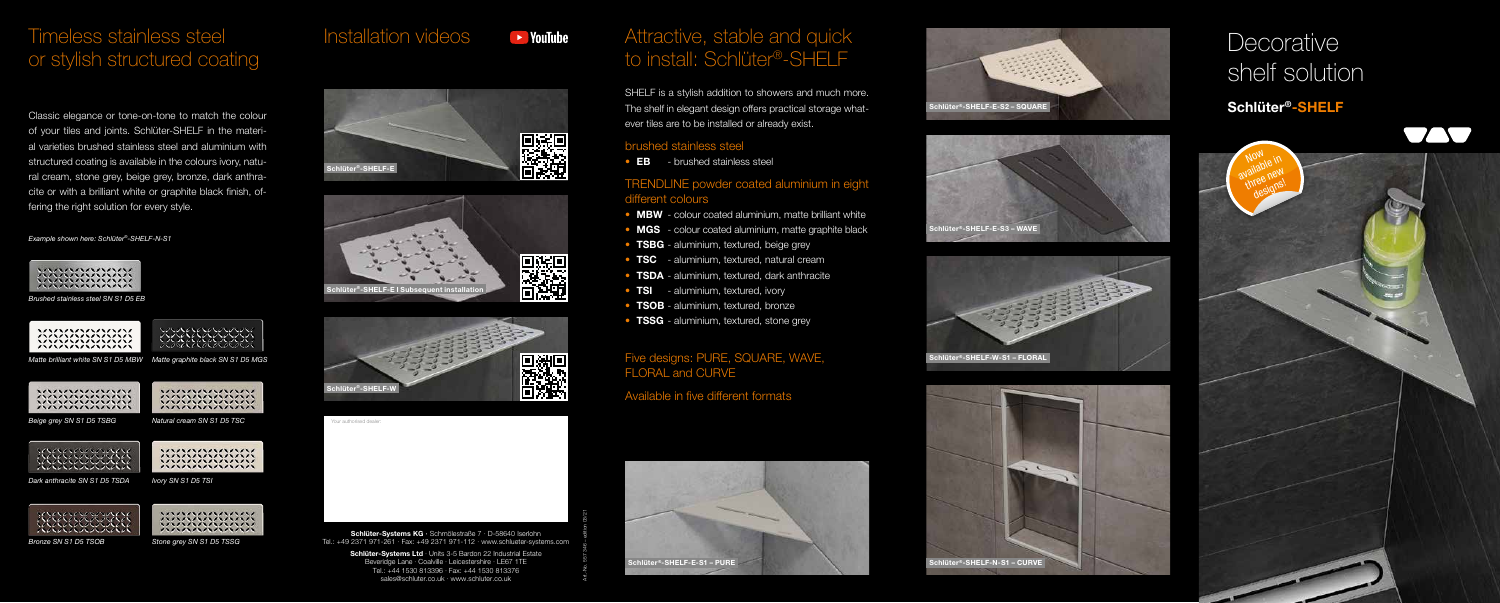Schlüter-Systems Ltd · Units 3-5 Bardon 22 Industrial Estate Beveridge Lane · Coalville · Leicestershire · LE67 1TE Tel.: +44 1530 813396 · Fax: +44 1530 813376 sales@schluter.co.uk · www.schluter.co.uk

### Timeless stainless steel or stylish structured coating

## **Decorative** shelf solution

Classic elegance or tone-on-tone to match the colour of your tiles and joints. Schlüter-SHELF in the material varieties brushed stainless steel and aluminium with structured coating is available in the colours ivory, natural cream, stone grey, beige grey, bronze, dark anthracite or with a brilliant white or graphite black finish, offering the right solution for every style.



### Installation videos



 $\blacktriangleright$  YouTube





### TRENDLINE powder coated aluminium in eight different colours

- MBW colour coated aluminium, matte brilliant white
- MGS colour coated aluminium, matte graphite black
- **TSBG** aluminium, textured, beige grey
- TSC aluminium, textured, natural cream
- **TSDA** aluminium, textured, dark anthracite
- **TSI** aluminium, textured, ivory
- **TSOB** aluminium, textured, bronze
- TSSG aluminium, textured, stone grey

### Attractive, stable and quick to install: Schlüter®-SHELF











### Schlüter®-SHELF



#### Example shown here: Schlüter®-SHELF-N-S1



Art.-No. 557 346 – edition 03/21

SHELF is a stylish addition to showers and much more. The shelf in elegant design offers practical storage whatever tiles are to be installed or already exist.

#### brushed stainless steel

• **EB** - brushed stainless steel

### Five designs: PURE, SQUARE, WAVE, FLORAL and CURVE

Available in five different formats